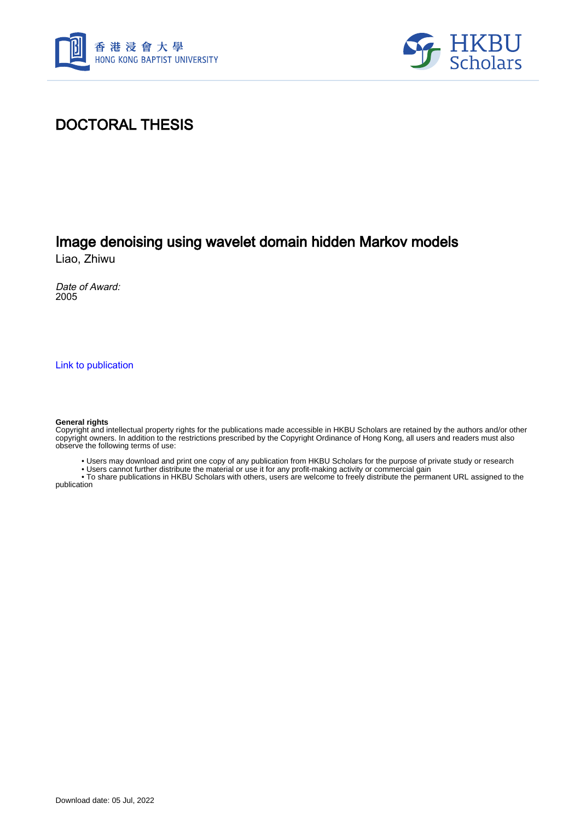



### DOCTORAL THESIS

## Image denoising using wavelet domain hidden Markov models

Liao, Zhiwu

Date of Award: 2005

[Link to publication](https://scholars.hkbu.edu.hk/en/studentTheses/23fb90f2-da8d-4383-89c7-b1544a3758c6)

#### **General rights**

Copyright and intellectual property rights for the publications made accessible in HKBU Scholars are retained by the authors and/or other copyright owners. In addition to the restrictions prescribed by the Copyright Ordinance of Hong Kong, all users and readers must also observe the following terms of use:

• Users may download and print one copy of any publication from HKBU Scholars for the purpose of private study or research

• Users cannot further distribute the material or use it for any profit-making activity or commercial gain

 • To share publications in HKBU Scholars with others, users are welcome to freely distribute the permanent URL assigned to the publication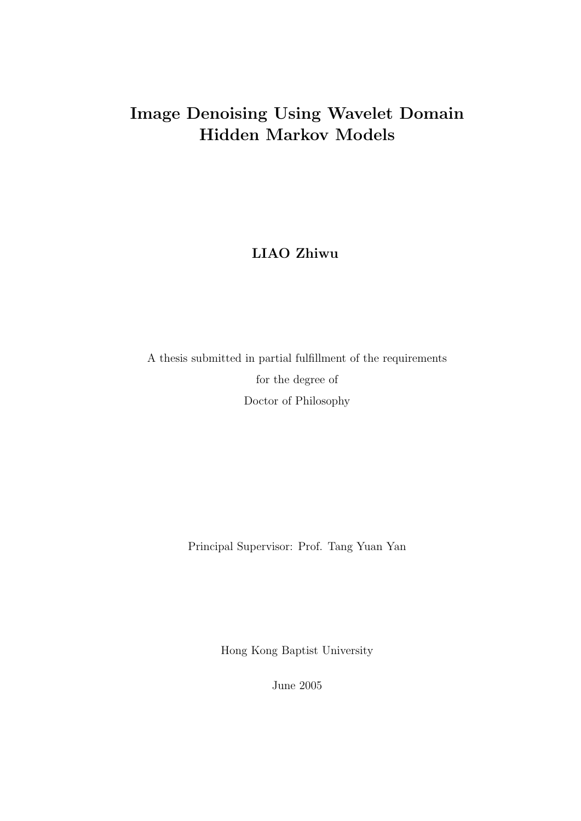# Image Denoising Using Wavelet Domain Hidden Markov Models

LIAO Zhiwu

A thesis submitted in partial fulfillment of the requirements for the degree of Doctor of Philosophy

Principal Supervisor: Prof. Tang Yuan Yan

Hong Kong Baptist University

June 2005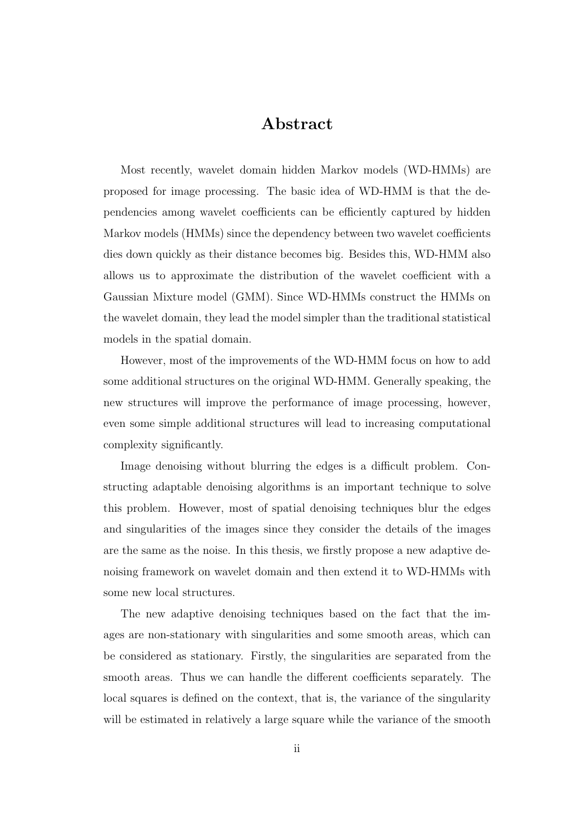#### Abstract

Most recently, wavelet domain hidden Markov models (WD-HMMs) are proposed for image processing. The basic idea of WD-HMM is that the dependencies among wavelet coefficients can be efficiently captured by hidden Markov models (HMMs) since the dependency between two wavelet coefficients dies down quickly as their distance becomes big. Besides this, WD-HMM also allows us to approximate the distribution of the wavelet coefficient with a Gaussian Mixture model (GMM). Since WD-HMMs construct the HMMs on the wavelet domain, they lead the model simpler than the traditional statistical models in the spatial domain.

However, most of the improvements of the WD-HMM focus on how to add some additional structures on the original WD-HMM. Generally speaking, the new structures will improve the performance of image processing, however, even some simple additional structures will lead to increasing computational complexity significantly.

Image denoising without blurring the edges is a difficult problem. Constructing adaptable denoising algorithms is an important technique to solve this problem. However, most of spatial denoising techniques blur the edges and singularities of the images since they consider the details of the images are the same as the noise. In this thesis, we firstly propose a new adaptive denoising framework on wavelet domain and then extend it to WD-HMMs with some new local structures.

The new adaptive denoising techniques based on the fact that the images are non-stationary with singularities and some smooth areas, which can be considered as stationary. Firstly, the singularities are separated from the smooth areas. Thus we can handle the different coefficients separately. The local squares is defined on the context, that is, the variance of the singularity will be estimated in relatively a large square while the variance of the smooth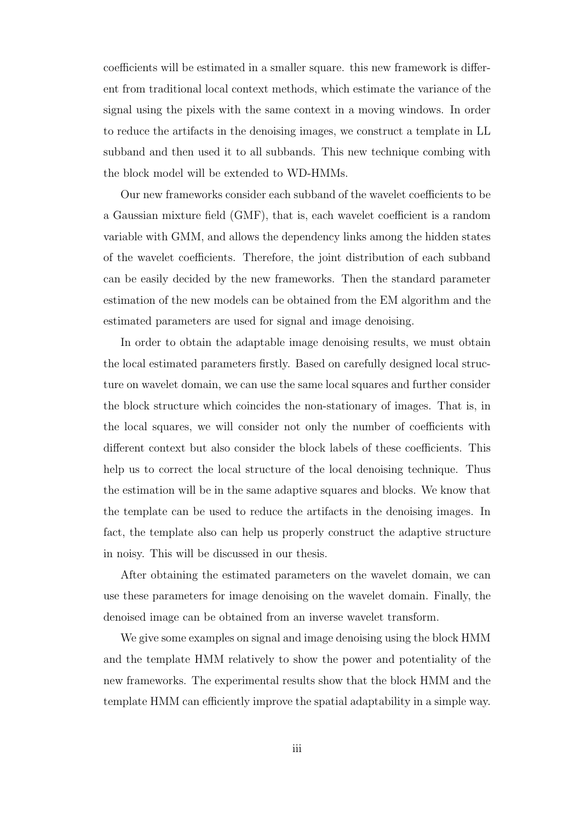coefficients will be estimated in a smaller square. this new framework is different from traditional local context methods, which estimate the variance of the signal using the pixels with the same context in a moving windows. In order to reduce the artifacts in the denoising images, we construct a template in LL subband and then used it to all subbands. This new technique combing with the block model will be extended to WD-HMMs.

Our new frameworks consider each subband of the wavelet coefficients to be a Gaussian mixture field (GMF), that is, each wavelet coefficient is a random variable with GMM, and allows the dependency links among the hidden states of the wavelet coefficients. Therefore, the joint distribution of each subband can be easily decided by the new frameworks. Then the standard parameter estimation of the new models can be obtained from the EM algorithm and the estimated parameters are used for signal and image denoising.

In order to obtain the adaptable image denoising results, we must obtain the local estimated parameters firstly. Based on carefully designed local structure on wavelet domain, we can use the same local squares and further consider the block structure which coincides the non-stationary of images. That is, in the local squares, we will consider not only the number of coefficients with different context but also consider the block labels of these coefficients. This help us to correct the local structure of the local denoising technique. Thus the estimation will be in the same adaptive squares and blocks. We know that the template can be used to reduce the artifacts in the denoising images. In fact, the template also can help us properly construct the adaptive structure in noisy. This will be discussed in our thesis.

After obtaining the estimated parameters on the wavelet domain, we can use these parameters for image denoising on the wavelet domain. Finally, the denoised image can be obtained from an inverse wavelet transform.

We give some examples on signal and image denoising using the block HMM and the template HMM relatively to show the power and potentiality of the new frameworks. The experimental results show that the block HMM and the template HMM can efficiently improve the spatial adaptability in a simple way.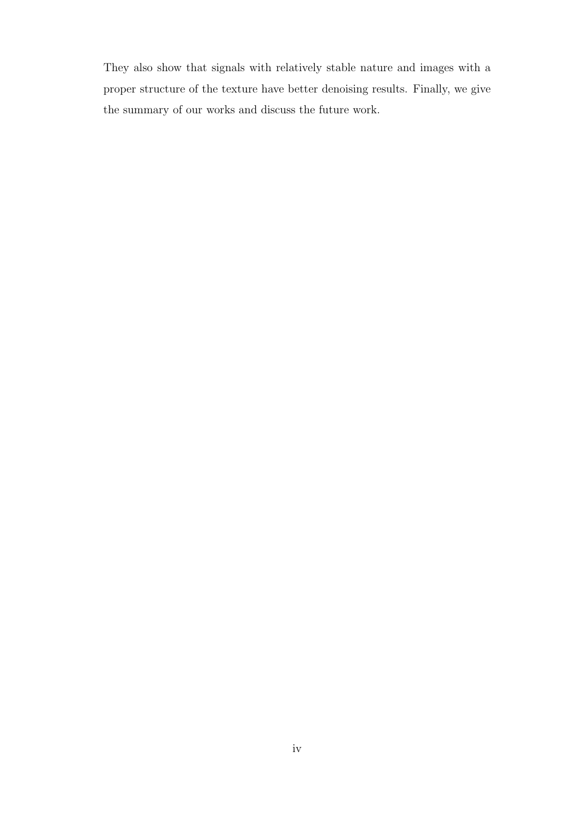They also show that signals with relatively stable nature and images with a proper structure of the texture have better denoising results. Finally, we give the summary of our works and discuss the future work.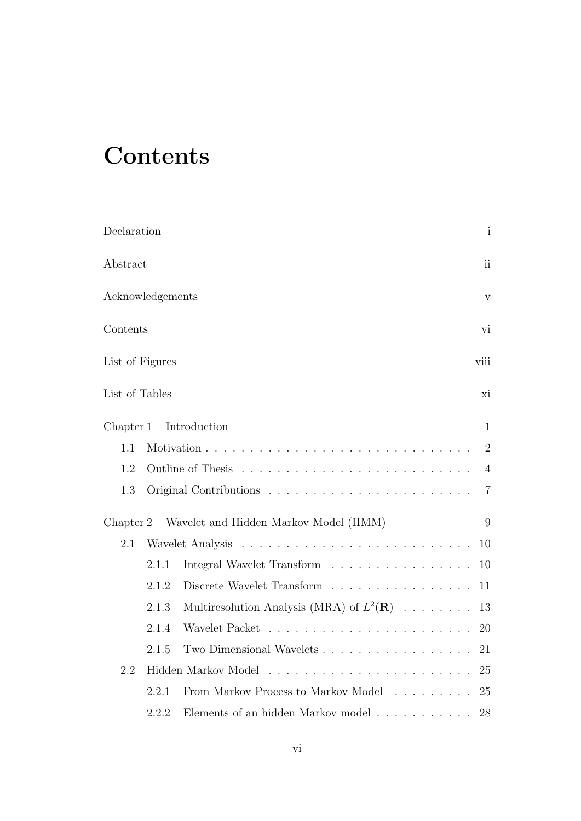# **Contents**

| Declaration      |       |                                                                        | $\mathbf{i}$             |
|------------------|-------|------------------------------------------------------------------------|--------------------------|
| Abstract         |       |                                                                        | $\overline{\textbf{ii}}$ |
| Acknowledgements |       |                                                                        | $\rm{V}$                 |
| Contents         |       |                                                                        | vi                       |
| List of Figures  |       |                                                                        | viii                     |
| List of Tables   |       |                                                                        | xi                       |
| Chapter 1        |       | Introduction                                                           | 1                        |
| 1.1              |       |                                                                        | $\overline{2}$           |
| 1.2              |       |                                                                        | $\overline{4}$           |
| 1.3              |       |                                                                        | $\overline{7}$           |
| Chapter 2        |       | Wavelet and Hidden Markov Model (HMM)                                  | 9                        |
| 2.1              |       |                                                                        | 10                       |
|                  | 2.1.1 | Integral Wavelet Transform $\ldots \ldots \ldots \ldots \ldots \ldots$ | 10                       |
|                  | 2.1.2 | Discrete Wavelet Transform                                             | 11                       |
|                  | 2.1.3 | Multiresolution Analysis (MRA) of $L^2(\mathbf{R})$                    | 13                       |
|                  | 2.1.4 |                                                                        | 20                       |
|                  | 2.1.5 | Two Dimensional Wavelets                                               | 21                       |
| 2.2              |       |                                                                        | 25                       |
|                  | 2.2.1 | From Markov Process to Markov Model                                    | 25                       |
|                  | 2.2.2 | Elements of an hidden Markov model $\ldots \ldots \ldots \ldots$       | 28                       |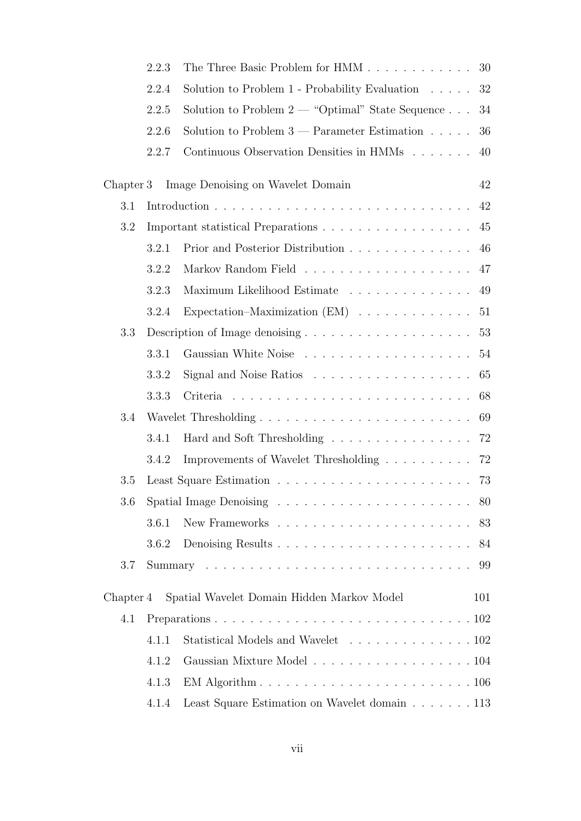|           | 2.2.3 | The Three Basic Problem for HMM                                            | 30  |  |
|-----------|-------|----------------------------------------------------------------------------|-----|--|
|           | 2.2.4 | Solution to Problem $1$ - Probability Evaluation $\ldots$ .                | 32  |  |
|           | 2.2.5 | Solution to Problem $2$ — "Optimal" State Sequence                         | 34  |  |
|           | 2.2.6 | Solution to Problem $3$ — Parameter Estimation $\dots$ .                   | 36  |  |
|           | 2.2.7 | Continuous Observation Densities in HMMs                                   | 40  |  |
| Chapter 3 |       | Image Denoising on Wavelet Domain                                          | 42  |  |
| 3.1       |       |                                                                            | 42  |  |
| 3.2       |       |                                                                            |     |  |
|           | 3.2.1 | Prior and Posterior Distribution                                           | 46  |  |
|           | 3.2.2 |                                                                            | 47  |  |
|           | 3.2.3 | Maximum Likelihood Estimate                                                | 49  |  |
|           | 3.2.4 | Expectation–Maximization $(EM)$                                            | 51  |  |
| 3.3       |       |                                                                            | 53  |  |
|           | 3.3.1 |                                                                            |     |  |
|           | 3.3.2 | Signal and Noise Ratios $\dots \dots \dots \dots \dots \dots$              | 65  |  |
|           | 3.3.3 |                                                                            | 68  |  |
| 3.4       |       |                                                                            |     |  |
|           | 3.4.1 | Hard and Soft Thresholding $\ldots \ldots \ldots \ldots \ldots \ldots$     | 72  |  |
|           | 3.4.2 | Improvements of Wavelet Thresholding                                       | 72  |  |
| 3.5       |       |                                                                            | 73  |  |
| 3.6       |       |                                                                            |     |  |
|           | 3.6.1 |                                                                            | 83  |  |
|           | 3.6.2 |                                                                            | 84  |  |
| 3.7       |       |                                                                            | 99  |  |
| Chapter 4 |       | Spatial Wavelet Domain Hidden Markov Model                                 | 101 |  |
| 4.1       |       |                                                                            |     |  |
|           | 4.1.1 | Statistical Models and Wavelet 102                                         |     |  |
|           | 4.1.2 | Gaussian Mixture Model 104                                                 |     |  |
|           | 4.1.3 | EM Algorithm $\ldots \ldots \ldots \ldots \ldots \ldots \ldots \ldots 106$ |     |  |
|           | 4.1.4 | Least Square Estimation on Wavelet domain 113                              |     |  |